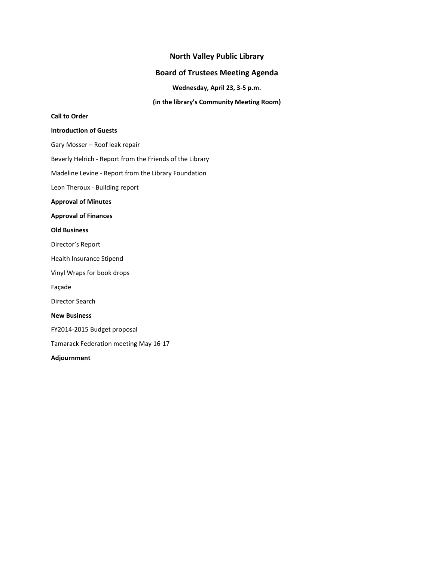### **North Valley Public Library**

### **Board of Trustees Meeting Agenda**

**Wednesday, April 23, 3-5 p.m.**

**(in the library's Community Meeting Room)**

### **Call to Order**

#### **Introduction of Guests**

Gary Mosser – Roof leak repair

Beverly Helrich - Report from the Friends of the Library

Madeline Levine - Report from the Library Foundation

Leon Theroux - Building report

**Approval of Minutes**

#### **Approval of Finances**

#### **Old Business**

Director's Report

Health Insurance Stipend

Vinyl Wraps for book drops

Façade

Director Search

### **New Business**

FY2014-2015 Budget proposal

Tamarack Federation meeting May 16-17

#### **Adjournment**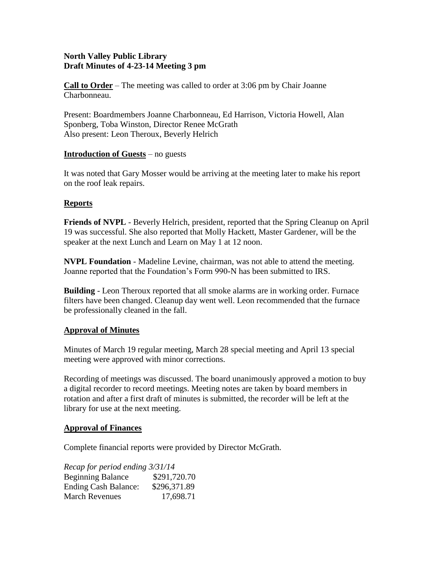# **North Valley Public Library Draft Minutes of 4-23-14 Meeting 3 pm**

**Call to Order** – The meeting was called to order at 3:06 pm by Chair Joanne Charbonneau.

Present: Boardmembers Joanne Charbonneau, Ed Harrison, Victoria Howell, Alan Sponberg, Toba Winston, Director Renee McGrath Also present: Leon Theroux, Beverly Helrich

# **Introduction of Guests** – no guests

It was noted that Gary Mosser would be arriving at the meeting later to make his report on the roof leak repairs.

# **Reports**

**Friends of NVPL** - Beverly Helrich, president, reported that the Spring Cleanup on April 19 was successful. She also reported that Molly Hackett, Master Gardener, will be the speaker at the next Lunch and Learn on May 1 at 12 noon.

**NVPL Foundation** - Madeline Levine, chairman, was not able to attend the meeting. Joanne reported that the Foundation's Form 990-N has been submitted to IRS.

**Building** - Leon Theroux reported that all smoke alarms are in working order. Furnace filters have been changed. Cleanup day went well. Leon recommended that the furnace be professionally cleaned in the fall.

## **Approval of Minutes**

Minutes of March 19 regular meeting, March 28 special meeting and April 13 special meeting were approved with minor corrections.

Recording of meetings was discussed. The board unanimously approved a motion to buy a digital recorder to record meetings. Meeting notes are taken by board members in rotation and after a first draft of minutes is submitted, the recorder will be left at the library for use at the next meeting.

## **Approval of Finances**

Complete financial reports were provided by Director McGrath.

*Recap for period ending 3/31/14* Beginning Balance \$291,720.70 Ending Cash Balance: \$296,371.89 March Revenues 17.698.71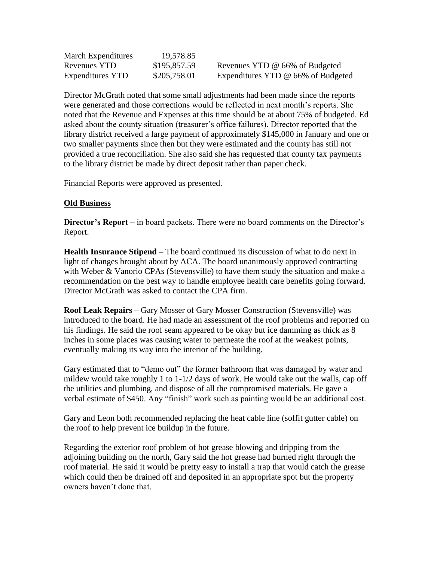| March Expenditures      | 19,578.85    |                                    |
|-------------------------|--------------|------------------------------------|
| Revenues YTD            | \$195,857.59 | Revenues YTD @ 66% of Budgeted     |
| <b>Expenditures YTD</b> | \$205,758.01 | Expenditures YTD @ 66% of Budgeted |

Director McGrath noted that some small adjustments had been made since the reports were generated and those corrections would be reflected in next month's reports. She noted that the Revenue and Expenses at this time should be at about 75% of budgeted. Ed asked about the county situation (treasurer's office failures). Director reported that the library district received a large payment of approximately \$145,000 in January and one or two smaller payments since then but they were estimated and the county has still not provided a true reconciliation. She also said she has requested that county tax payments to the library district be made by direct deposit rather than paper check.

Financial Reports were approved as presented.

# **Old Business**

**Director's Report** – in board packets. There were no board comments on the Director's Report.

**Health Insurance Stipend** – The board continued its discussion of what to do next in light of changes brought about by ACA. The board unanimously approved contracting with Weber & Vanorio CPAs (Stevensville) to have them study the situation and make a recommendation on the best way to handle employee health care benefits going forward. Director McGrath was asked to contact the CPA firm.

**Roof Leak Repairs** – Gary Mosser of Gary Mosser Construction (Stevensville) was introduced to the board. He had made an assessment of the roof problems and reported on his findings. He said the roof seam appeared to be okay but ice damming as thick as 8 inches in some places was causing water to permeate the roof at the weakest points, eventually making its way into the interior of the building.

Gary estimated that to "demo out" the former bathroom that was damaged by water and mildew would take roughly 1 to 1-1/2 days of work. He would take out the walls, cap off the utilities and plumbing, and dispose of all the compromised materials. He gave a verbal estimate of \$450. Any "finish" work such as painting would be an additional cost.

Gary and Leon both recommended replacing the heat cable line (soffit gutter cable) on the roof to help prevent ice buildup in the future.

Regarding the exterior roof problem of hot grease blowing and dripping from the adjoining building on the north, Gary said the hot grease had burned right through the roof material. He said it would be pretty easy to install a trap that would catch the grease which could then be drained off and deposited in an appropriate spot but the property owners haven't done that.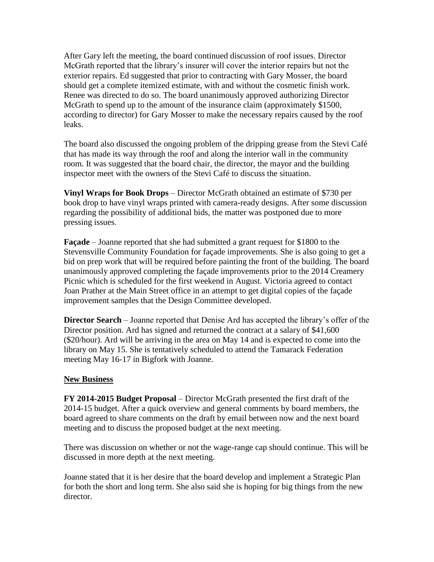After Gary left the meeting, the board continued discussion of roof issues. Director McGrath reported that the library's insurer will cover the interior repairs but not the exterior repairs. Ed suggested that prior to contracting with Gary Mosser, the board should get a complete itemized estimate, with and without the cosmetic finish work. Renee was directed to do so. The board unanimously approved authorizing Director McGrath to spend up to the amount of the insurance claim (approximately \$1500, according to director) for Gary Mosser to make the necessary repairs caused by the roof leaks.

The board also discussed the ongoing problem of the dripping grease from the Stevi Café that has made its way through the roof and along the interior wall in the community room. It was suggested that the board chair, the director, the mayor and the building inspector meet with the owners of the Stevi Café to discuss the situation.

**Vinyl Wraps for Book Drops** – Director McGrath obtained an estimate of \$730 per book drop to have vinyl wraps printed with camera-ready designs. After some discussion regarding the possibility of additional bids, the matter was postponed due to more pressing issues.

**Façade** – Joanne reported that she had submitted a grant request for \$1800 to the Stevensville Community Foundation for façade improvements. She is also going to get a bid on prep work that will be required before painting the front of the building. The board unanimously approved completing the façade improvements prior to the 2014 Creamery Picnic which is scheduled for the first weekend in August. Victoria agreed to contact Joan Prather at the Main Street office in an attempt to get digital copies of the façade improvement samples that the Design Committee developed.

**Director Search** – Joanne reported that Denise Ard has accepted the library's offer of the Director position. Ard has signed and returned the contract at a salary of \$41,600 (\$20/hour). Ard will be arriving in the area on May 14 and is expected to come into the library on May 15. She is tentatively scheduled to attend the Tamarack Federation meeting May 16-17 in Bigfork with Joanne.

## **New Business**

**FY 2014-2015 Budget Proposal** – Director McGrath presented the first draft of the 2014-15 budget. After a quick overview and general comments by board members, the board agreed to share comments on the draft by email between now and the next board meeting and to discuss the proposed budget at the next meeting.

There was discussion on whether or not the wage-range cap should continue. This will be discussed in more depth at the next meeting.

Joanne stated that it is her desire that the board develop and implement a Strategic Plan for both the short and long term. She also said she is hoping for big things from the new director.